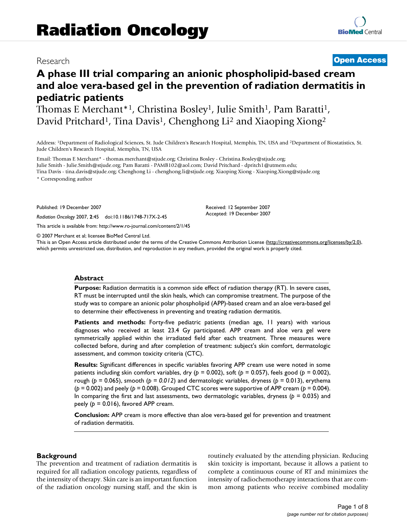# Research **[Open Access](http://www.biomedcentral.com/info/about/charter/)**

# **A phase III trial comparing an anionic phospholipid-based cream and aloe vera-based gel in the prevention of radiation dermatitis in pediatric patients**

Thomas E Merchant<sup>\*1</sup>, Christina Bosley<sup>1</sup>, Julie Smith<sup>1</sup>, Pam Baratti<sup>1</sup>, David Pritchard<sup>1</sup>, Tina Davis<sup>1</sup>, Chenghong Li<sup>2</sup> and Xiaoping Xiong<sup>2</sup>

Address: 1Department of Radiological Sciences, St. Jude Children's Research Hospital, Memphis, TN, USA and 2Department of Biostatistics, St. Jude Children's Research Hospital, Memphis, TN, USA

Email: Thomas E Merchant\* - thomas.merchant@stjude.org; Christina Bosley - Christina.Bosley@stjude.org; Julie Smith - Julie.Smith@stjude.org; Pam Baratti - PAMB102@aol.com; David Pritchard - dpritch1@utmem.edu; Tina Davis - tina.davis@stjude.org; Chenghong Li - chenghong.li@stjude.org; Xiaoping Xiong - Xiaoping.Xiong@stjude.org

\* Corresponding author

Published: 19 December 2007

*Radiation Oncology* 2007, **2**:45 doi:10.1186/1748-717X-2-45

[This article is available from: http://www.ro-journal.com/content/2/1/45](http://www.ro-journal.com/content/2/1/45)

© 2007 Merchant et al; licensee BioMed Central Ltd.

This is an Open Access article distributed under the terms of the Creative Commons Attribution License [\(http://creativecommons.org/licenses/by/2.0\)](http://creativecommons.org/licenses/by/2.0), which permits unrestricted use, distribution, and reproduction in any medium, provided the original work is properly cited.

Received: 12 September 2007 Accepted: 19 December 2007

#### **Abstract**

**Purpose:** Radiation dermatitis is a common side effect of radiation therapy (RT). In severe cases, RT must be interrupted until the skin heals, which can compromise treatment. The purpose of the study was to compare an anionic polar phospholipid (APP)-based cream and an aloe vera-based gel to determine their effectiveness in preventing and treating radiation dermatitis.

Patients and methods: Forty-five pediatric patients (median age, 11 years) with various diagnoses who received at least 23.4 Gy participated. APP cream and aloe vera gel were symmetrically applied within the irradiated field after each treatment. Three measures were collected before, during and after completion of treatment: subject's skin comfort, dermatologic assessment, and common toxicity criteria (CTC).

**Results:** Significant differences in specific variables favoring APP cream use were noted in some patients including skin comfort variables, dry (*p* = 0.002), soft (*p* = 0.057), feels good (*p* = 0.002), rough (*p* = 0.065), smooth (*p = 0.012*) and dermatologic variables, dryness (*p* = 0.013), erythema (*p* = 0.002) and peely (*p* = 0.008). Grouped CTC scores were supportive of APP cream (*p* = 0.004). In comparing the first and last assessments, two dermatologic variables, dryness (*p* = 0.035) and peely  $(p = 0.016)$ , favored APP cream.

**Conclusion:** APP cream is more effective than aloe vera-based gel for prevention and treatment of radiation dermatitis.

#### **Background**

The prevention and treatment of radiation dermatitis is required for all radiation oncology patients, regardless of the intensity of therapy. Skin care is an important function of the radiation oncology nursing staff, and the skin is routinely evaluated by the attending physician. Reducing skin toxicity is important, because it allows a patient to complete a continuous course of RT and minimizes the intensity of radiochemotherapy interactions that are common among patients who receive combined modality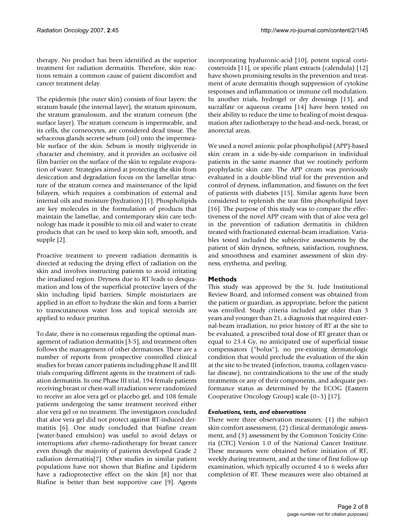therapy. No product has been identified as the superior treatment for radiation dermatitis. Therefore, skin reactions remain a common cause of patient discomfort and cancer treatment delay.

The epidermis (the outer skin) consists of four layers: the stratum basale (the internal layer), the stratum spinosum, the stratum granulosum, and the stratum corneum (the surface layer). The stratum corneum is impermeable, and its cells, the corneocytes, are considered dead tissue. The sebaceous glands secrete sebum (oil) onto the impermeable surface of the skin. Sebum is mostly triglyceride in character and chemistry, and it provides an occlusive oil film barrier on the surface of the skin to regulate evaporation of water. Strategies aimed at protecting the skin from desiccation and degradation focus on the lamellar structure of the stratum cornea and maintenance of the lipid bilayers, which requires a combination of external and internal oils and moisture (hydration) [1]. Phospholipids are key molecules in the formulation of products that maintain the lamellae, and contemporary skin care technology has made it possible to mix oil and water to create products that can be used to keep skin soft, smooth, and supple [2].

Proactive treatment to prevent radiation dermatitis is directed at reducing the drying effect of radiation on the skin and involves instructing patients to avoid irritating the irradiated region. Dryness due to RT leads to desquamation and loss of the superficial protective layers of the skin including lipid barriers. Simple moisturizers are applied in an effort to hydrate the skin and form a barrier to transcutaneous water loss and topical steroids are applied to reduce pruritus.

To date, there is no consensus regarding the optimal management of radiation dermatitis [3-5], and treatment often follows the management of other dermatoses. There are a number of reports from prospective controlled clinical studies for breast cancer patients including phase II and III trials comparing different agents in the treatment of radiation dermatitis. In one Phase III trial, 194 female patients receiving breast or chest-wall irradiation were randomized to receive an aloe vera gel or placebo gel, and 108 female patients undergoing the same treatment received either aloe vera gel or no treatment. The investigators concluded that aloe vera gel did not protect against RT-induced dermatitis [6]. One study concluded that biafine cream (water-based emulsion) was useful to avoid delays or interruptions after chemo-radiotherapy for breast cancer even though the majority of patients developed Grade 2 radiation dermatitis[7]. Other studies in similar patient populations have not shown that Biafine and Lipiderm have a radioprotective effect on the skin [8] nor that Biafine is better than best supportive care [9]. Agents

incorporating hyaluronic-acid [10], potent topical corticosteroids [11], or specific plant extracts (calendula) [12] have shown promising results in the prevention and treatment of acute dermatitis though suppression of cytokine responses and inflammation or immune cell modulation. In another trials, hydrogel or dry dressings [13], and sucralfate or aqueous creams [14] have been tested on their ability to reduce the time to healing of moist desquamation after radiotherapy to the head-and-neck, breast, or anorectal areas.

We used a novel anionic polar phospholipid (APP)-based skin cream in a side-by-side comparison in individual patients in the same manner that we routinely perform prophylactic skin care. The APP cream was previously evaluated in a double-blind trial for the prevention and control of dryness, inflammation, and fissures on the feet of patients with diabetes [15]. Similar agents have been considered to replenish the tear film phospholipid layer [16]. The purpose of this study was to compare the effectiveness of the novel APP cream with that of aloe vera gel in the prevention of radiation dermatitis in children treated with fractionated external-beam irradiation. Variables tested included the subjective assessments by the patient of skin dryness, softness, satisfaction, roughness, and smoothness and examiner assessment of skin dryness, erythema, and peeling.

# **Methods**

This study was approved by the St. Jude Institutional Review Board, and informed consent was obtained from the patient or guardian, as appropriate, before the patient was enrolled. Study criteria included age older than 3 years and younger than 21, a diagnosis that required external-beam irradiation, no prior history of RT at the site to be evaluated, a prescribed total dose of RT greater than or equal to 23.4 Gy, no anticipated use of superficial tissue compensators ("bolus"), no pre-existing dermatologic condition that would preclude the evaluation of the skin at the site to be treated (infection, trauma, collagen vascular disease), no contraindications to the use of the study treatments or any of their components, and adequate performance status as determined by the ECOG (Eastern Cooperative Oncology Group) scale (0–3) [17].

# *Evaluations, tests, and observations*

There were three observation measures: (1) the subject skin comfort assessment, (2) clinical dermatologic assessment, and (3) assessment by the Common Toxicity Criteria (CTC) Version 1.0 of the National Cancer Institute. These measures were obtained before initiation of RT, weekly during treatment, and at the time of first follow-up examination, which typically occurred 4 to 6 weeks after completion of RT. These measures were also obtained at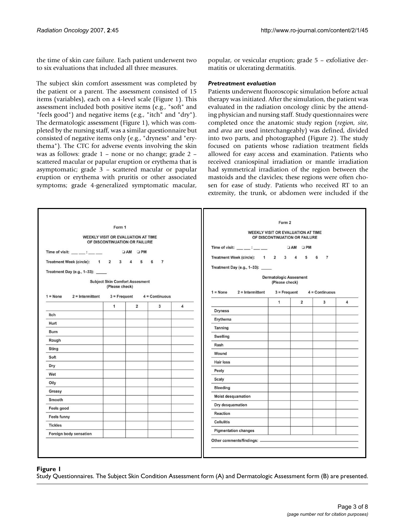the time of skin care failure. Each patient underwent two to six evaluations that included all three measures.

The subject skin comfort assessment was completed by the patient or a parent. The assessment consisted of 15 items (variables), each on a 4-level scale (Figure 1). This assessment included both positive items (e.g., "soft" and "feels good") and negative items (e.g., "itch" and "dry"). The dermatologic assessment (Figure 1), which was completed by the nursing staff, was a similar questionnaire but consisted of negative items only (e.g., "dryness" and "erythema"). The CTC for adverse events involving the skin was as follows: grade 1 – none or no change; grade 2 – scattered macular or papular eruption or erythema that is asymptomatic; grade 3 – scattered macular or papular eruption or erythema with pruritis or other associated symptoms; grade 4-generalized symptomatic macular, popular, or vesicular eruption; grade 5 – exfoliative dermatitis or ulcerating dermatitis.

### *Pretreatment evaluation*

Patients underwent fluoroscopic simulation before actual therapy was initiated. After the simulation, the patient was evaluated in the radiation oncology clinic by the attending physician and nursing staff. Study questionnaires were completed once the anatomic study region (*region, site*, and *area* are used interchangeably) was defined, divided into two parts, and photographed (Figure 2). The study focused on patients whose radiation treatment fields allowed for easy access and examination. Patients who received craniospinal irradiation or mantle irradiation had symmetrical irradiation of the region between the mastoids and the clavicles; these regions were often chosen for ease of study. Patients who received RT to an extremity, the trunk, or abdomen were included if the

| Form 1<br><b>WEEKLY VISIT OR EVALUATION AT TIME</b><br>OF DISCONTINUATION OR FAILURE<br>Time of visit: $\qquad \qquad$ : $\qquad$<br><b>QAM</b> QPM<br>Treatment Week (circle): 1 2 3 4 5 6<br>$\overline{7}$<br>Treatment Day (e.g., 1-33): _____<br><b>Subject Skin Comfort Assesment</b><br>(Please check) |                                |                |                       | Form 2<br><b>WEEKLY VISIT OR EVALUATION AT TIME</b><br>OF DISCONTINUATION OR FAILURE<br>Treatment Week (circle): 1 2 3 4 5 6 7<br>Treatment Day (e.g., 1-33): ____<br><b>Dermatologic Assesment</b><br>(Please check)<br>$2 = Internet$<br>$3$ = Frequent<br>$4 =$ Continuous<br>$1 = None$ |                             |              |                |   |   |
|---------------------------------------------------------------------------------------------------------------------------------------------------------------------------------------------------------------------------------------------------------------------------------------------------------------|--------------------------------|----------------|-----------------------|---------------------------------------------------------------------------------------------------------------------------------------------------------------------------------------------------------------------------------------------------------------------------------------------|-----------------------------|--------------|----------------|---|---|
| $1 = None$<br>$2 = Internet$                                                                                                                                                                                                                                                                                  | $3$ = Frequent<br>$\mathbf{1}$ | $\overline{2}$ | $4 =$ Continuous<br>3 | $\overline{4}$                                                                                                                                                                                                                                                                              |                             | $\mathbf{1}$ | $\overline{2}$ | 3 | 4 |
| Itch                                                                                                                                                                                                                                                                                                          |                                |                |                       |                                                                                                                                                                                                                                                                                             | <b>Dryness</b>              |              |                |   |   |
| Hurt                                                                                                                                                                                                                                                                                                          |                                |                |                       |                                                                                                                                                                                                                                                                                             | Erythema                    |              |                |   |   |
| Burn                                                                                                                                                                                                                                                                                                          |                                |                |                       |                                                                                                                                                                                                                                                                                             | Tanning                     |              |                |   |   |
|                                                                                                                                                                                                                                                                                                               |                                |                |                       |                                                                                                                                                                                                                                                                                             | Swelling                    |              |                |   |   |
| Rough                                                                                                                                                                                                                                                                                                         |                                |                |                       |                                                                                                                                                                                                                                                                                             | Rash                        |              |                |   |   |
| <b>Sting</b>                                                                                                                                                                                                                                                                                                  |                                |                |                       |                                                                                                                                                                                                                                                                                             | Wound                       |              |                |   |   |
| Soft                                                                                                                                                                                                                                                                                                          |                                |                |                       |                                                                                                                                                                                                                                                                                             | <b>Hair loss</b>            |              |                |   |   |
| Dry                                                                                                                                                                                                                                                                                                           |                                |                |                       |                                                                                                                                                                                                                                                                                             | Peely                       |              |                |   |   |
| Wet                                                                                                                                                                                                                                                                                                           |                                |                |                       |                                                                                                                                                                                                                                                                                             | <b>Scaly</b>                |              |                |   |   |
| Oily                                                                                                                                                                                                                                                                                                          |                                |                |                       |                                                                                                                                                                                                                                                                                             | <b>Bleeding</b>             |              |                |   |   |
| Greasy                                                                                                                                                                                                                                                                                                        |                                |                |                       |                                                                                                                                                                                                                                                                                             | <b>Moist desquamation</b>   |              |                |   |   |
| Smooth                                                                                                                                                                                                                                                                                                        |                                |                |                       |                                                                                                                                                                                                                                                                                             | Dry desquamation            |              |                |   |   |
| Feels good                                                                                                                                                                                                                                                                                                    |                                |                |                       |                                                                                                                                                                                                                                                                                             | <b>Reaction</b>             |              |                |   |   |
| <b>Feels funny</b>                                                                                                                                                                                                                                                                                            |                                |                |                       |                                                                                                                                                                                                                                                                                             | <b>Cellulitis</b>           |              |                |   |   |
| <b>Tickles</b>                                                                                                                                                                                                                                                                                                |                                |                |                       |                                                                                                                                                                                                                                                                                             | <b>Pigmentation changes</b> |              |                |   |   |
| Foreign body sensation                                                                                                                                                                                                                                                                                        |                                |                |                       |                                                                                                                                                                                                                                                                                             |                             |              |                |   |   |

٦r

# **Figure 1**

Study Questionnaires. The Subject Skin Condition Assessment form (A) and Dermatologic Assessment form (B) are presented.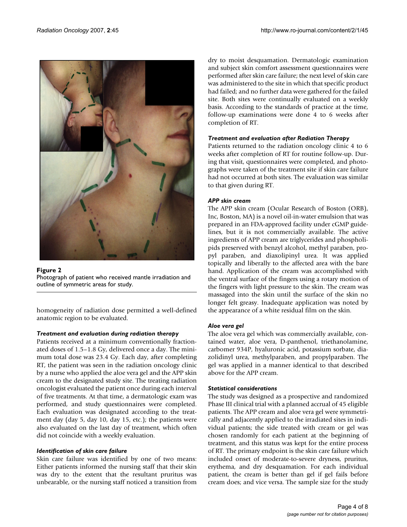

### **Figure 2** Photograph of patient who received mantle irradiation and outline of symmetric areas for study.

homogeneity of radiation dose permitted a well-defined anatomic region to be evaluated.

#### *Treatment and evaluation during radiation therapy*

Patients received at a minimum conventionally fractionated doses of 1.5–1.8 Gy, delivered once a day. The minimum total dose was 23.4 Gy. Each day, after completing RT, the patient was seen in the radiation oncology clinic by a nurse who applied the aloe vera gel and the APP skin cream to the designated study site. The treating radiation oncologist evaluated the patient once during each interval of five treatments. At that time, a dermatologic exam was performed, and study questionnaires were completed. Each evaluation was designated according to the treatment day (day 5, day 10, day 15, etc.); the patients were also evaluated on the last day of treatment, which often did not coincide with a weekly evaluation.

# *Identification of skin care failure*

Skin care failure was identified by one of two means: Either patients informed the nursing staff that their skin was dry to the extent that the resultant pruritus was unbearable, or the nursing staff noticed a transition from dry to moist desquamation. Dermatologic examination and subject skin comfort assessment questionnaires were performed after skin care failure; the next level of skin care was administered to the site in which that specific product had failed; and no further data were gathered for the failed site. Both sites were continually evaluated on a weekly basis. According to the standards of practice at the time, follow-up examinations were done 4 to 6 weeks after completion of RT.

#### *Treatment and evaluation after Radiation Therapy*

Patients returned to the radiation oncology clinic 4 to 6 weeks after completion of RT for routine follow-up. During that visit, questionnaires were completed, and photographs were taken of the treatment site if skin care failure had not occurred at both sites. The evaluation was similar to that given during RT.

#### *APP skin cream*

The APP skin cream (Ocular Research of Boston (ORB), Inc, Boston, MA) is a novel oil-in-water emulsion that was prepared in an FDA-approved facility under cGMP guidelines, but it is not commercially available. The active ingredients of APP cream are triglycerides and phospholipids preserved with benzyl alcohol, methyl paraben, propyl paraben, and diaxolipinyl urea. It was applied topically and liberally to the affected area with the bare hand. Application of the cream was accomplished with the ventral surface of the fingers using a rotary motion of the fingers with light pressure to the skin. The cream was massaged into the skin until the surface of the skin no longer felt greasy. Inadequate application was noted by the appearance of a white residual film on the skin.

# *Aloe vera gel*

The aloe vera gel which was commercially available, contained water, aloe vera, D-panthenol, triethanolamine, carbomer 934P, hyaluronic acid, potassium sorbate, diazolidinyl urea, methylparaben, and propylparaben. The gel was applied in a manner identical to that described above for the APP cream.

#### *Statistical considerations*

The study was designed as a prospective and randomized Phase III clinical trial with a planned accrual of 45 eligible patients. The APP cream and aloe vera gel were symmetrically and adjacently applied to the irradiated sites in individual patients; the side treated with cream or gel was chosen randomly for each patient at the beginning of treatment, and this status was kept for the entire process of RT. The primary endpoint is the skin care failure which included onset of moderate-to-severe dryness, pruritus, erythema, and dry desquamation. For each individual patient, the cream is better than gel if gel fails before cream does; and vice versa. The sample size for the study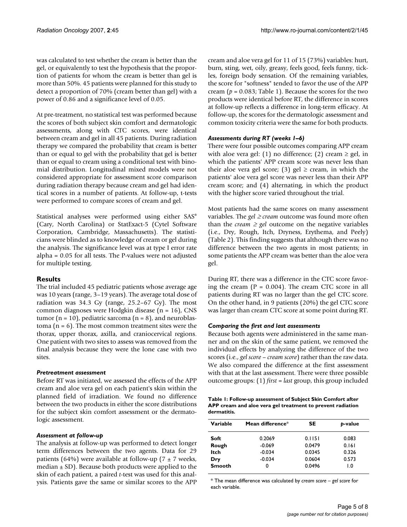was calculated to test whether the cream is better than the gel, or equivalently to test the hypothesis that the proportion of patients for whom the cream is better than gel is more than 50%. 45 patients were planned for this study to detect a proportion of 70% (cream better than gel) with a power of 0.86 and a significance level of 0.05.

At pre-treatment, no statistical test was performed because the scores of both subject skin comfort and dermatologic assessments, along with CTC scores, were identical between cream and gel in all 45 patients. During radiation therapy we compared the probability that cream is better than or equal to gel with the probability that gel is better than or equal to cream using a conditional test with binomial distribution. Longitudinal mixed models were not considered appropriate for assessment score comparison during radiation therapy because cream and gel had identical scores in a number of patients. At follow-up, t-tests were performed to compare scores of cream and gel.

Statistical analyses were performed using either SAS® (Cary, North Carolina) or StatExact-5 (Cytel Software Corporation, Cambridge, Massachusetts). The statisticians were blinded as to knowledge of cream or gel during the analysis. The significance level was at type I error rate alpha = 0.05 for all tests. The P-values were not adjusted for multiple testing.

# **Results**

The trial included 45 pediatric patients whose average age was 10 years (range, 3–19 years). The average total dose of radiation was 34.3 Gy (range, 25.2–67 Gy). The most common diagnoses were Hodgkin disease (n = 16), CNS tumor ( $n = 10$ ), pediatric sarcoma ( $n = 8$ ), and neuroblastoma ( $n = 6$ ). The most common treatment sites were the thorax, upper thorax, axilla, and craniocervical regions. One patient with two sites to assess was removed from the final analysis because they were the lone case with two sites.

# *Pretreatment assessment*

Before RT was initiated, we assessed the effects of the APP cream and aloe vera gel on each patient's skin within the planned field of irradiation. We found no difference between the two products in either the score distributions for the subject skin comfort assessment or the dermatologic assessment.

# *Assessment at follow-up*

The analysis at follow-up was performed to detect longer term differences between the two agents. Data for 29 patients (64%) were available at follow-up (7  $\pm$  7 weeks, median  $\pm$  SD). Because both products were applied to the skin of each patient, a paired *t*-test was used for this analysis. Patients gave the same or similar scores to the APP cream and aloe vera gel for 11 of 15 (73%) variables: hurt, burn, sting, wet, oily, greasy, feels good, feels funny, tickles, foreign body sensation. Of the remaining variables, the score for "softness" tended to favor the use of the APP cream ( $p = 0.083$ ; Table 1). Because the scores for the two products were identical before RT, the difference in scores at follow-up reflects a difference in long-term efficacy. At follow-up, the scores for the dermatologic assessment and common toxicity criteria were the same for both products.

# *Assessments during RT (weeks 1–6)*

There were four possible outcomes comparing APP cream with aloe vera gel: (1) no difference; (2) cream  $\ge$  gel, in which the patients' APP cream score was never less than their aloe vera gel score; (3) gel  $\geq$  cream, in which the patients' aloe vera gel score was never less than their APP cream score; and (4) alternating, in which the product with the higher score varied throughout the trial.

Most patients had the same scores on many assessment variables. The *gel* ≥ *cream* outcome was found more often than the *cream*  $\ge$  *gel* outcome on the negative variables (i.e., Dry, Rough, Itch, Dryness, Erythema, and Peely) (Table 2). This finding suggests that although there was no difference between the two agents in most patients; in some patients the APP cream was better than the aloe vera gel.

During RT, there was a difference in the CTC score favoring the cream  $(P = 0.004)$ . The cream CTC score in all patients during RT was no larger than the gel CTC score. On the other hand, in 9 patients (20%) the gel CTC score was larger than cream CTC score at some point during RT.

# *Comparing the first and last assessments*

Because both agents were administered in the same manner and on the skin of the same patient, we removed the individual effects by analyzing the difference of the two scores (i.e., *gel score* – *cream score*) rather than the raw data. We also compared the difference at the first assessment with that at the last assessment. There were three possible outcome groups: (1) *first = last* group, this group included

| Table 1: Follow-up assessment of Subject Skin Comfort after |
|-------------------------------------------------------------|
| APP cream and aloe vera gel treatment to prevent radiation  |
| dermatitis.                                                 |

| Variable      | Mean difference $*$ | SE     | <b><i>b</i>-value</b> |
|---------------|---------------------|--------|-----------------------|
| Soft          | 0.2069              | 0.1151 | 0.083                 |
| Rough         | $-0.069$            | 0.0479 | 0.161                 |
| <b>Itch</b>   | $-0.034$            | 0.0345 | 0.326                 |
| Dry           | $-0.034$            | 0.0604 | 0.573                 |
| <b>Smooth</b> | 0                   | 0.0496 | 1.0                   |

\* The mean difference was calculated by *cream score – gel score* for each variable.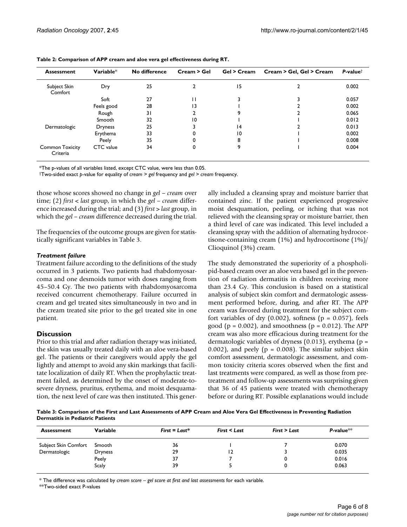| <b>Assessment</b>                  | $Variable*$    | No difference | Cream > Gel | <b>Gel &gt; Cream</b> | Cream > Gel, Gel > Cream | $P$ -value $\dagger$ |
|------------------------------------|----------------|---------------|-------------|-----------------------|--------------------------|----------------------|
| Subject Skin<br>Comfort            | Dry            | 25            |             | 15                    |                          | 0.002                |
|                                    | Soft           | 27            | П           |                       |                          | 0.057                |
|                                    | Feels good     | 28            | 13          |                       |                          | 0.002                |
|                                    | Rough          | 31            |             |                       |                          | 0.065                |
|                                    | Smooth         | 32            | 10          |                       |                          | 0.012                |
| Dermatologic                       | <b>Dryness</b> | 25            |             | 14                    |                          | 0.013                |
|                                    | Erythema       | 33            |             | $\overline{0}$        |                          | 0.002                |
|                                    | Peely          | 35            |             | 8                     |                          | 0.008                |
| <b>Common Toxicity</b><br>Criteria | CTC value      | 34            |             | 9                     |                          | 0.004                |

**Table 2: Comparison of APP cream and aloe vera gel effectiveness during RT.**

\*The p-values of all variables listed, except CTC value, were less than 0.05.

†Two-sided exact *p*-value for equality of *cream > gel* frequency and *gel > cream* frequency.

those whose scores showed no change in *gel – cream* over time; (2) *first < last* group, in which the *gel – cream* difference increased during the trial; and (3) *first > last* group, in which the *gel – cream* difference decreased during the trial.

The frequencies of the outcome groups are given for statistically significant variables in Table 3.

#### *Treatment failure*

Treatment failure according to the definitions of the study occurred in 3 patients. Two patients had rhabdomyosarcoma and one desmoids tumor with doses ranging from 45–50.4 Gy. The two patients with rhabdomyosarcoma received concurrent chemotherapy. Failure occurred in cream and gel treated sites simultaneously in two and in the cream treated site prior to the gel treated site in one patient.

# **Discussion**

Prior to this trial and after radiation therapy was initiated, the skin was usually treated daily with an aloe vera-based gel. The patients or their caregivers would apply the gel lightly and attempt to avoid any skin markings that facilitate localization of daily RT. When the prophylactic treatment failed, as determined by the onset of moderate-tosevere dryness, pruritus, erythema, and moist desquamation, the next level of care was then instituted. This generally included a cleansing spray and moisture barrier that contained zinc. If the patient experienced progressive moist desquamation, peeling, or itching that was not relieved with the cleansing spray or moisture barrier, then a third level of care was indicated. This level included a cleansing spray with the addition of alternating hydrocortisone-containing cream (1%) and hydrocortisone (1%)/ Clioquinol (3%) cream.

The study demonstrated the superiority of a phospholipid-based cream over an aloe vera based gel in the prevention of radiation dermatitis in children receiving more than 23.4 Gy. This conclusion is based on a statistical analysis of subject skin comfort and dermatologic assessment performed before, during, and after RT. The APP cream was favored during treatment for the subject comfort variables of dry  $(0.002)$ , softness  $(p = 0.057)$ , feels good ( $p = 0.002$ ), and smoothness ( $p = 0.012$ ). The APP cream was also more efficacious during treatment for the dermatologic variables of dryness  $(0.013)$ , erythema  $(p =$ 0.002), and peely ( $p = 0.008$ ). The similar subject skin comfort assessment, dermatologic assessment, and common toxicity criteria scores observed when the first and last treatments were compared, as well as those from pretreatment and follow-up assessments was surprising given that 36 of 45 patients were treated with chemotherapy before or during RT. Possible explanations would include

**Table 3: Comparison of the First and Last Assessments of APP Cream and Aloe Vera Gel Effectiveness in Preventing Radiation Dermatitis in Pediatric Patients**

| Assessment           | Variable       | $First = Last*$ | First < Last | First > Last | $P-value**$ |
|----------------------|----------------|-----------------|--------------|--------------|-------------|
| Subject Skin Comfort | Smooth         | 36              |              |              | 0.070       |
| Dermatologic         | <b>Dryness</b> | 29              | 12           |              | 0.035       |
|                      | Peely          | 37              |              |              | 0.016       |
|                      | Scaly          | 39              |              |              | 0.063       |

\* The difference was calculated by *cream score – gel score at first and last assessments* for each variable.

\*\*Two-sided exact P-values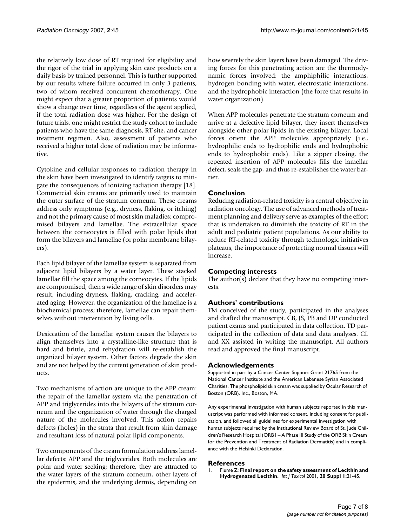the relatively low dose of RT required for eligibility and the rigor of the trial in applying skin care products on a daily basis by trained personnel. This is further supported by our results where failure occurred in only 3 patients, two of whom received concurrent chemotherapy. One might expect that a greater proportion of patients would show a change over time, regardless of the agent applied, if the total radiation dose was higher. For the design of future trials, one might restrict the study cohort to include patients who have the same diagnosis, RT site, and cancer treatment regimen. Also, assessment of patients who received a higher total dose of radiation may be informative.

Cytokine and cellular responses to radiation therapy in the skin have been investigated to identify targets to mitigate the consequences of ionizing radiation therapy [18]. Commercial skin creams are primarily used to maintain the outer surface of the stratum corneum. These creams address only symptoms (e.g., dryness, flaking, or itching) and not the primary cause of most skin maladies: compromised bilayers and lamellae. The extracellular space between the corneocytes is filled with polar lipids that form the bilayers and lamellae (or polar membrane bilayers).

Each lipid bilayer of the lamellae system is separated from adjacent lipid bilayers by a water layer. These stacked lamellae fill the space among the corneocytes. If the lipids are compromised, then a wide range of skin disorders may result, including dryness, flaking, cracking, and accelerated aging. However, the organization of the lamellae is a biochemical process; therefore, lamellae can repair themselves without intervention by living cells.

Desiccation of the lamellar system causes the bilayers to align themselves into a crystalline-like structure that is hard and brittle, and rehydration will re-establish the organized bilayer system. Other factors degrade the skin and are not helped by the current generation of skin products.

Two mechanisms of action are unique to the APP cream: the repair of the lamellar system via the penetration of APP and triglycerides into the bilayers of the stratum corneum and the organization of water through the charged nature of the molecules involved. This action repairs defects (holes) in the strata that result from skin damage and resultant loss of natural polar lipid components.

Two components of the cream formulation address lamellar defects: APP and the triglycerides. Both molecules are polar and water seeking; therefore, they are attracted to the water layers of the stratum corneum, other layers of the epidermis, and the underlying dermis, depending on how severely the skin layers have been damaged. The driving forces for this penetrating action are the thermodynamic forces involved: the amphiphilic interactions, hydrogen bonding with water, electrostatic interactions, and the hydrophobic interaction (the force that results in water organization).

When APP molecules penetrate the stratum corneum and arrive at a defective lipid bilayer, they insert themselves alongside other polar lipids in the existing bilayer. Local forces orient the APP molecules appropriately (i.e., hydrophilic ends to hydrophilic ends and hydrophobic ends to hydrophobic ends). Like a zipper closing, the repeated insertion of APP molecules fills the lamellar defect, seals the gap, and thus re-establishes the water barrier.

# **Conclusion**

Reducing radiation-related toxicity is a central objective in radiation oncology. The use of advanced methods of treatment planning and delivery serve as examples of the effort that is undertaken to diminish the toxicity of RT in the adult and pediatric patient populations. As our ability to reduce RT-related toxicity through technologic initiatives plateaus, the importance of protecting normal tissues will increase.

# **Competing interests**

The author(s) declare that they have no competing interests.

# **Authors' contributions**

TM conceived of the study, participated in the analyses and drafted the manuscript. CB, JS, PB and DP conducted patient exams and participated in data collection. TD participated in the collection of data and data analyses. CL and XX assisted in writing the manuscript. All authors read and approved the final manuscript.

# **Acknowledgements**

Supported in part by a Cancer Center Support Grant 21765 from the National Cancer Institute and the American Lebanese Syrian Associated Charities. The phospholipid skin cream was supplied by Ocular Research of Boston (ORB), Inc., Boston, MA.

Any experimental investigation with human subjects reported in this manuscript was performed with informed consent, including consent for publication, and followed all guidelines for experimental investigation with human subjects required by the Institutional Review Board of St. Jude Children's Research Hospital (ORB1 – A Phase III Study of the ORB Skin Cream for the Prevention and Treatment of Radiation Dermatitis) and in compliance with the Helsinki Declaration.

# **References**

1. Fiume Z: **[Final report on the safety assessment of Lecithin and](http://www.ncbi.nlm.nih.gov/entrez/query.fcgi?cmd=Retrieve&db=PubMed&dopt=Abstract&list_uids=11358109) [Hydrogenated Lecithin.](http://www.ncbi.nlm.nih.gov/entrez/query.fcgi?cmd=Retrieve&db=PubMed&dopt=Abstract&list_uids=11358109)** *Int J Toxicol* 2001, **20 Suppl 1:**21-45.